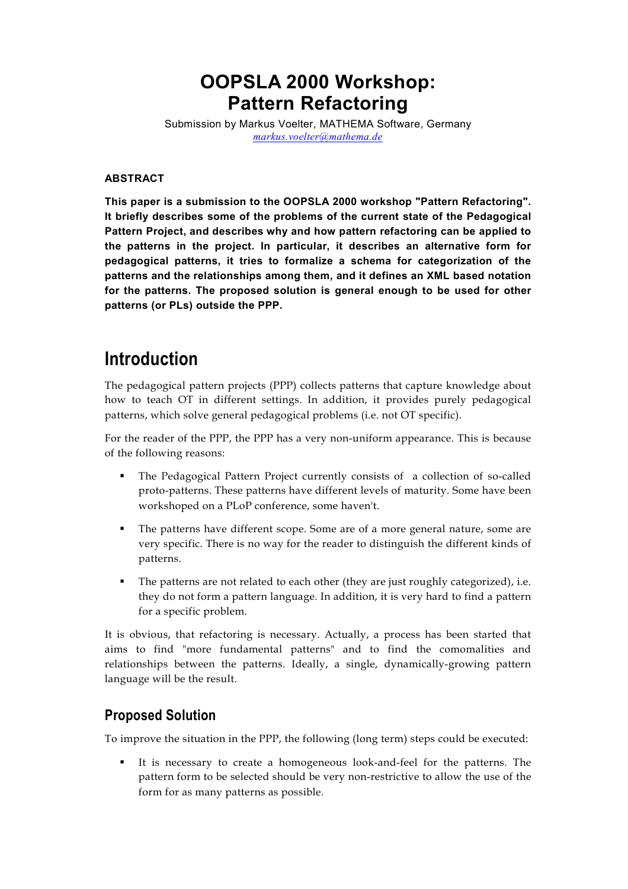# **OOPSLA 2000 Workshop: Pattern Refactoring**

Submission by Markus Voelter, MATHEMA Software, Germany *[markus.voelter@mathema.de](mailto:voelter@acm.org)*

#### **ABSTRACT**

**This paper is a submission to the OOPSLA 2000 workshop "Pattern Refactoring". It briefly describes some of the problems of the current state of the Pedagogical Pattern Project, and describes why and how pattern refactoring can be applied to the patterns in the project. In particular, it describes an alternative form for pedagogical patterns, it tries to formalize a schema for categorization of the patterns and the relationships among them, and it defines an XML based notation for the patterns. The proposed solution is general enough to be used for other patterns (or PLs) outside the PPP.**

# **Introduction**

The pedagogical pattern projects (PPP) collects patterns that capture knowledge about how to teach OT in different settings. In addition, it provides purely pedagogical patterns, which solve general pedagogical problems (i.e. not OT specific).

For the reader of the PPP, the PPP has a very non-uniform appearance. This is because of the following reasons:

- The Pedagogical Pattern Project currently consists of a collection of so-called proto-patterns. These patterns have different levels of maturity. Some have been workshoped on a PLoP conference, some haven't.
- The patterns have different scope. Some are of a more general nature, some are very specific. There is no way for the reader to distinguish the different kinds of patterns.
- The patterns are not related to each other (they are just roughly categorized), i.e. they do not form a pattern language. In addition, it is very hard to find a pattern for a specific problem.

It is obvious, that refactoring is necessary. Actually, a process has been started that aims to find "more fundamental patterns" and to find the comomalities and relationships between the patterns. Ideally, a single, dynamically-growing pattern language will be the result.

## **Proposed Solution**

To improve the situation in the PPP, the following (long term) steps could be executed:

 It is necessary to create a homogeneous look-and-feel for the patterns. The pattern form to be selected should be very non-restrictive to allow the use of the form for as many patterns as possible.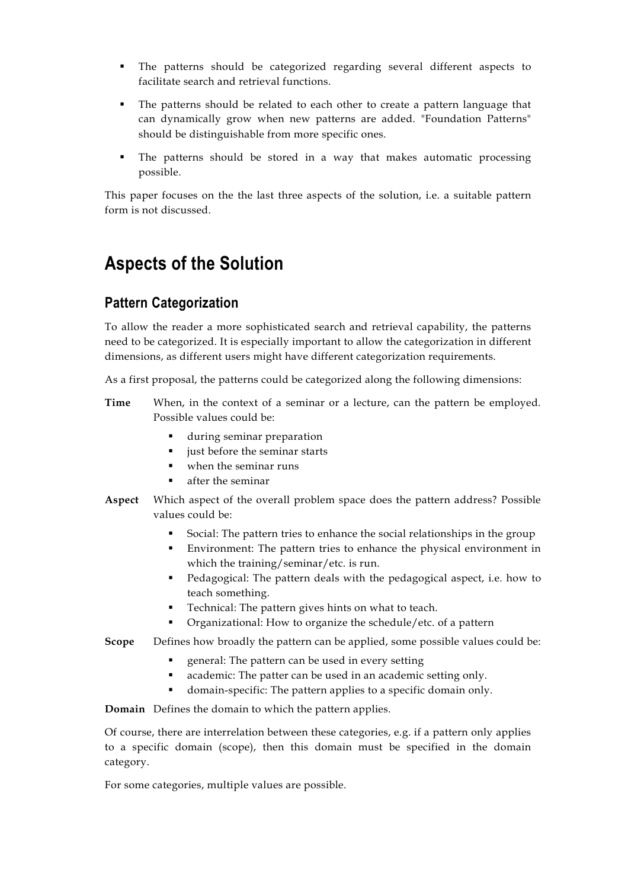- The patterns should be categorized regarding several different aspects to facilitate search and retrieval functions.
- The patterns should be related to each other to create a pattern language that can dynamically grow when new patterns are added. "Foundation Patterns" should be distinguishable from more specific ones.
- The patterns should be stored in a way that makes automatic processing possible.

This paper focuses on the the last three aspects of the solution, i.e. a suitable pattern form is not discussed.

# **Aspects of the Solution**

# **Pattern Categorization**

To allow the reader a more sophisticated search and retrieval capability, the patterns need to be categorized. It is especially important to allow the categorization in different dimensions, as different users might have different categorization requirements.

As a first proposal, the patterns could be categorized along the following dimensions:

- **Time** When, in the context of a seminar or a lecture, can the pattern be employed. Possible values could be:
	- during seminar preparation
	- just before the seminar starts
	- when the seminar runs
	- after the seminar
- **Aspect** Which aspect of the overall problem space does the pattern address? Possible values could be:
	- Social: The pattern tries to enhance the social relationships in the group
	- Environment: The pattern tries to enhance the physical environment in which the training/seminar/etc. is run.
	- Pedagogical: The pattern deals with the pedagogical aspect, i.e. how to teach something.
	- Technical: The pattern gives hints on what to teach.
	- Organizational: How to organize the schedule/etc. of a pattern
- **Scope** Defines how broadly the pattern can be applied, some possible values could be:
	- **EXE** general: The pattern can be used in every setting
	- academic: The patter can be used in an academic setting only.
	- domain-specific: The pattern applies to a specific domain only.

**Domain** Defines the domain to which the pattern applies.

Of course, there are interrelation between these categories, e.g. if a pattern only applies to a specific domain (scope), then this domain must be specified in the domain category.

For some categories, multiple values are possible.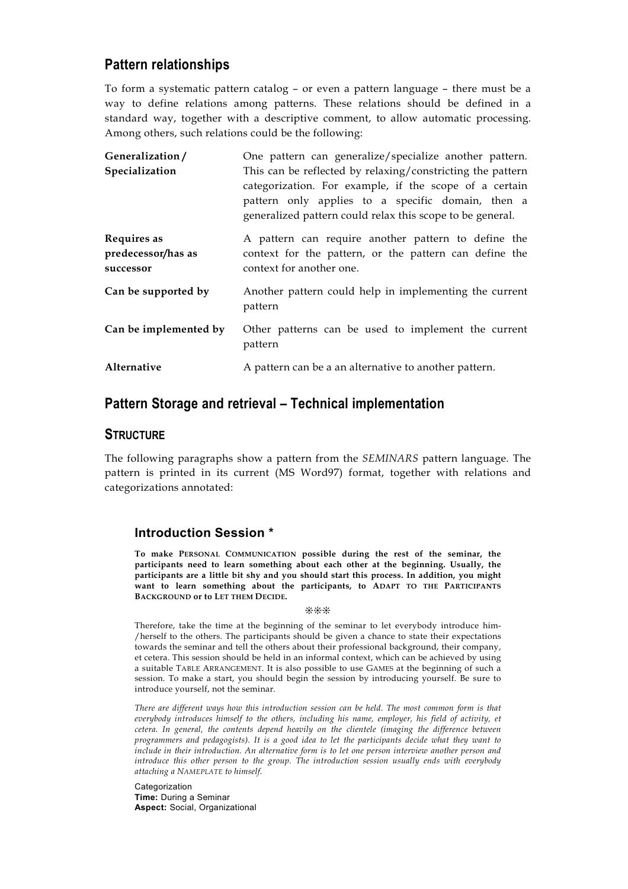## **Pattern relationships**

To form a systematic pattern catalog – or even a pattern language – there must be a way to define relations among patterns. These relations should be defined in a standard way, together with a descriptive comment, to allow automatic processing. Among others, such relations could be the following:

| Generalization/                                | One pattern can generalize/specialize another pattern.                                                                                                                                                                                 |
|------------------------------------------------|----------------------------------------------------------------------------------------------------------------------------------------------------------------------------------------------------------------------------------------|
| Specialization                                 | This can be reflected by relaxing/constricting the pattern<br>categorization. For example, if the scope of a certain<br>pattern only applies to a specific domain, then a<br>generalized pattern could relax this scope to be general. |
| Requires as<br>predecessor/has as<br>successor | A pattern can require another pattern to define the<br>context for the pattern, or the pattern can define the<br>context for another one.                                                                                              |
| Can be supported by                            | Another pattern could help in implementing the current<br>pattern                                                                                                                                                                      |
| Can be implemented by                          | Other patterns can be used to implement the current<br>pattern                                                                                                                                                                         |
| Alternative                                    | A pattern can be a an alternative to another pattern.                                                                                                                                                                                  |

### **Pattern Storage and retrieval – Technical implementation**

#### **STRUCTURE**

The following paragraphs show a pattern from the *SEMINARS* pattern language. The pattern is printed in its current (MS Word97) format, together with relations and categorizations annotated:

#### **Introduction Session \***

**To make PERSONAL COMMUNICATION possible during the rest of the seminar, the participants need to learn something about each other at the beginning. Usually, the participants are a little bit shy and you should start this process. In addition, you might want to learn something about the participants, to ADAPT TO THE PARTICIPANTS BACKGROUND or to LET THEM DECIDE.**

#### ❊❊❊

Therefore, take the time at the beginning of the seminar to let everybody introduce him- /herself to the others. The participants should be given a chance to state their expectations towards the seminar and tell the others about their professional background, their company, et cetera. This session should be held in an informal context, which can be achieved by using a suitable TABLE ARRANGEMENT. It is also possible to use GAMES at the beginning of such a session. To make a start, you should begin the session by introducing yourself. Be sure to introduce yourself, not the seminar.

*There are different ways how this introduction session can be held. The most common form is that everybody introduces himself to the others, including his name, employer, his field of activity, et cetera. In general, the contents depend heavily on the clientele (imaging the difference between programmers and pedagogists). It is a good idea to let the participants decide what they want to include in their introduction. An alternative form is to let one person interview another person and introduce this other person to the group. The introduction session usually ends with everybody attaching a NAMEPLATE to himself.*

Categorization **Time:** During a Seminar **Aspect:** Social, Organizational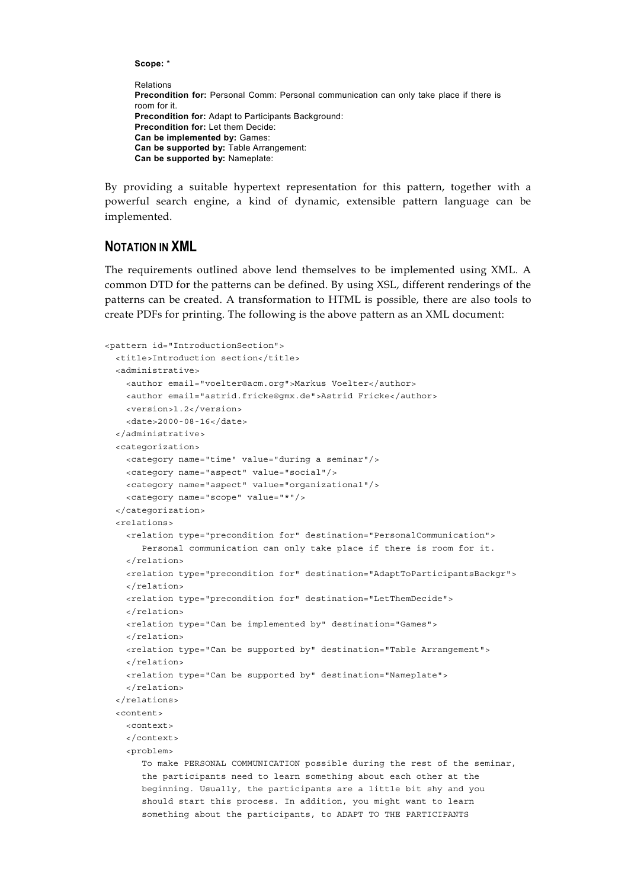**Scope:** \*

```
Relations
Precondition for: Personal Comm: Personal communication can only take place if there is
room for it.
Precondition for: Adapt to Participants Background:
Precondition for: Let them Decide:
Can be implemented by: Games:
Can be supported by: Table Arrangement:
Can be supported by: Nameplate:
```
By providing a suitable hypertext representation for this pattern, together with a powerful search engine, a kind of dynamic, extensible pattern language can be implemented.

### **NOTATION IN XML**

The requirements outlined above lend themselves to be implemented using XML. A common DTD for the patterns can be defined. By using XSL, different renderings of the patterns can be created. A transformation to HTML is possible, there are also tools to create PDFs for printing. The following is the above pattern as an XML document:

```
<pattern id="IntroductionSection">
 <title>Introduction section</title>
 <administrative>
   <author email="voelter@acm.org">Markus Voelter</author>
    <author email="astrid.fricke@gmx.de">Astrid Fricke</author>
   <version>1.2</version>
   <date>2000-08-16</date>
 </administrative>
 <categorization>
   <category name="time" value="during a seminar"/>
   <category name="aspect" value="social"/>
   <category name="aspect" value="organizational"/>
    <category name="scope" value="*"/>
 </categorization>
 <relations>
   <relation type="precondition for" destination="PersonalCommunication">
      Personal communication can only take place if there is room for it.
   </relation>
   <relation type="precondition for" destination="AdaptToParticipantsBackgr">
    </relation>
   <relation type="precondition for" destination="LetThemDecide">
   </relation>
   <relation type="Can be implemented by" destination="Games">
   </relation>
   <relation type="Can be supported by" destination="Table Arrangement">
   </relation>
   <relation type="Can be supported by" destination="Nameplate">
    </relation>
 </relations>
 <content>
   <context>
   </context>
    <problem>
      To make PERSONAL COMMUNICATION possible during the rest of the seminar,
      the participants need to learn something about each other at the
      beginning. Usually, the participants are a little bit shy and you
      should start this process. In addition, you might want to learn
       something about the participants, to ADAPT TO THE PARTICIPANTS
```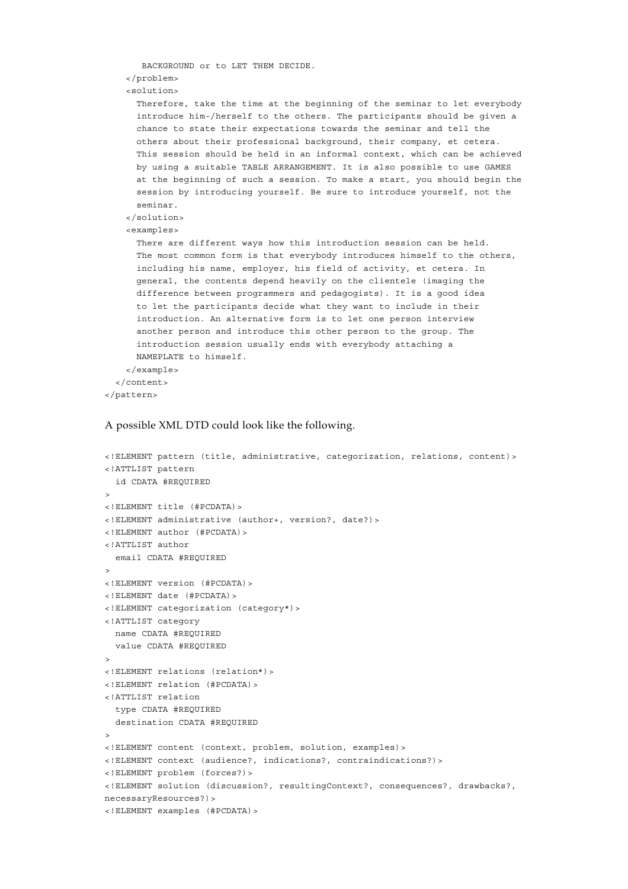```
BACKGROUND or to LET THEM DECIDE.
    </problem>
    <solution>
     Therefore, take the time at the beginning of the seminar to let everybody
     introduce him-/herself to the others. The participants should be given a
     chance to state their expectations towards the seminar and tell the
      others about their professional background, their company, et cetera.
      This session should be held in an informal context, which can be achieved
     by using a suitable TABLE ARRANGEMENT. It is also possible to use GAMES
     at the beginning of such a session. To make a start, you should begin the
     session by introducing yourself. Be sure to introduce yourself, not the
     seminar.
    </solution>
    <examples>
      There are different ways how this introduction session can be held.
     The most common form is that everybody introduces himself to the others,
     including his name, employer, his field of activity, et cetera. In
     general, the contents depend heavily on the clientele (imaging the
     difference between programmers and pedagogists). It is a good idea
     to let the participants decide what they want to include in their
     introduction. An alternative form is to let one person interview
      another person and introduce this other person to the group. The
     introduction session usually ends with everybody attaching a
     NAMEPLATE to himself.
    </example>
 </content>
</pattern>
```
#### A possible XML DTD could look like the following.

```
<!ELEMENT pattern (title, administrative, categorization, relations, content)>
<!ATTLIST pattern
  id CDATA #REQUIRED
>
<!ELEMENT title (#PCDATA)>
<!ELEMENT administrative (author+, version?, date?)>
<!ELEMENT author (#PCDATA)>
<!ATTLIST author
  email CDATA #REQUIRED
\overline{\phantom{a}}<!ELEMENT version (#PCDATA)>
<!ELEMENT date (#PCDATA)>
<!ELEMENT categorization (category*)>
<!ATTLIST category
  name CDATA #REQUIRED
  value CDATA #REQUIRED
>
<!ELEMENT relations (relation*)>
<!ELEMENT relation (#PCDATA)>
<!ATTLIST relation
  type CDATA #REQUIRED
  destination CDATA #REQUIRED
>
<!ELEMENT content (context, problem, solution, examples)>
<!ELEMENT context (audience?, indications?, contraindications?)>
<!ELEMENT problem (forces?)>
<!ELEMENT solution (discussion?, resultingContext?, consequences?, drawbacks?,
necessaryResources?)>
<!ELEMENT examples (#PCDATA)>
```